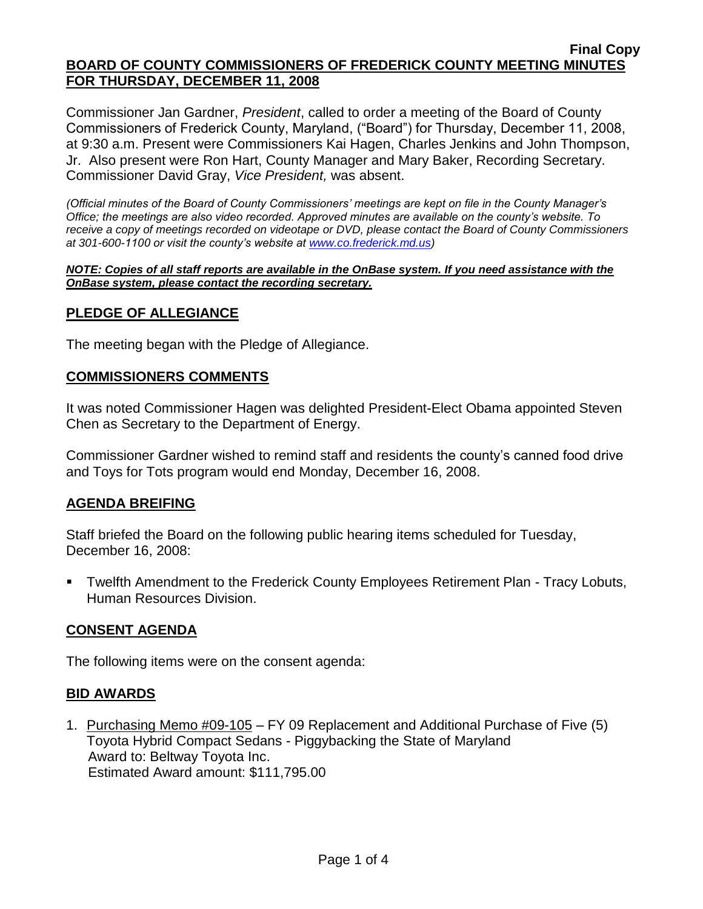Commissioner Jan Gardner, *President*, called to order a meeting of the Board of County Commissioners of Frederick County, Maryland, ("Board") for Thursday, December 11, 2008, at 9:30 a.m. Present were Commissioners Kai Hagen, Charles Jenkins and John Thompson, Jr. Also present were Ron Hart, County Manager and Mary Baker, Recording Secretary. Commissioner David Gray, *Vice President,* was absent.

*(Official minutes of the Board of County Commissioners' meetings are kept on file in the County Manager's Office; the meetings are also video recorded. Approved minutes are available on the county's website. To receive a copy of meetings recorded on videotape or DVD, please contact the Board of County Commissioners at 301-600-1100 or visit the county's website at [www.co.frederick.md.us\)](http://www.co.frederick.md.us/)*

#### *NOTE: Copies of all staff reports are available in the OnBase system. If you need assistance with the OnBase system, please contact the recording secretary.*

## **PLEDGE OF ALLEGIANCE**

The meeting began with the Pledge of Allegiance.

#### **COMMISSIONERS COMMENTS**

It was noted Commissioner Hagen was delighted President-Elect Obama appointed Steven Chen as Secretary to the Department of Energy.

Commissioner Gardner wished to remind staff and residents the county's canned food drive and Toys for Tots program would end Monday, December 16, 2008.

## **AGENDA BREIFING**

Staff briefed the Board on the following public hearing items scheduled for Tuesday, December 16, 2008:

 Twelfth Amendment to the Frederick County Employees Retirement Plan - Tracy Lobuts, Human Resources Division.

## **CONSENT AGENDA**

The following items were on the consent agenda:

## **BID AWARDS**

1. Purchasing Memo #09-105 – FY 09 Replacement and Additional Purchase of Five (5) Toyota Hybrid Compact Sedans - Piggybacking the State of Maryland Award to: Beltway Toyota Inc. Estimated Award amount: \$111,795.00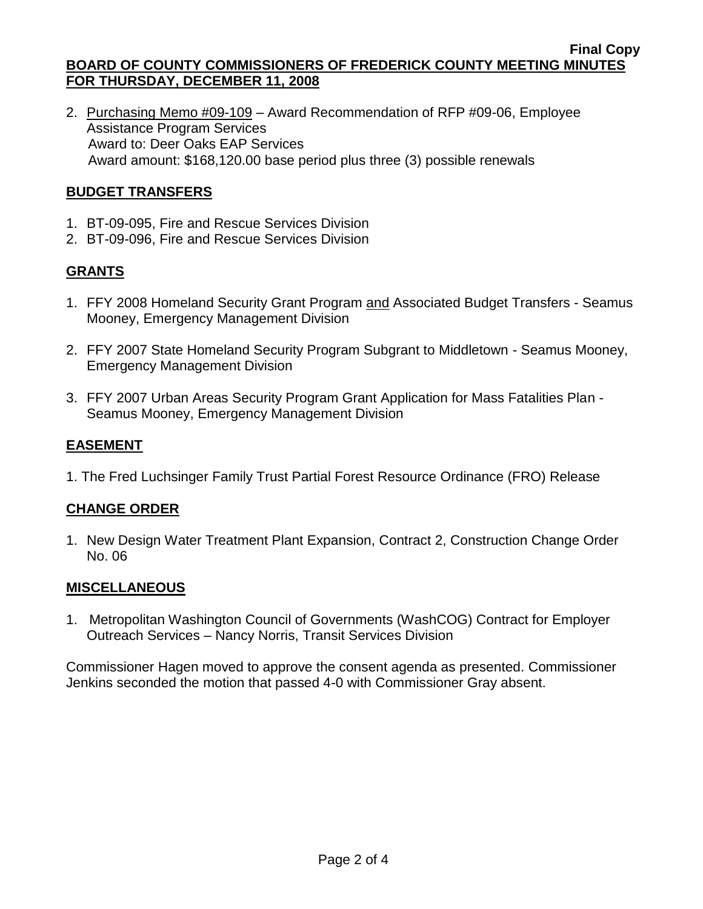2. Purchasing Memo #09-109 – Award Recommendation of RFP #09-06, Employee Assistance Program Services Award to: Deer Oaks EAP Services Award amount: \$168,120.00 base period plus three (3) possible renewals

# **BUDGET TRANSFERS**

- 1. BT-09-095, Fire and Rescue Services Division
- 2. BT-09-096, Fire and Rescue Services Division

## **GRANTS**

- 1. FFY 2008 Homeland Security Grant Program and Associated Budget Transfers Seamus Mooney, Emergency Management Division
- 2. FFY 2007 State Homeland Security Program Subgrant to Middletown Seamus Mooney, Emergency Management Division
- 3. FFY 2007 Urban Areas Security Program Grant Application for Mass Fatalities Plan Seamus Mooney, Emergency Management Division

## **EASEMENT**

1. The Fred Luchsinger Family Trust Partial Forest Resource Ordinance (FRO) Release

## **CHANGE ORDER**

1. New Design Water Treatment Plant Expansion, Contract 2, Construction Change Order No. 06

## **MISCELLANEOUS**

1. Metropolitan Washington Council of Governments (WashCOG) Contract for Employer Outreach Services – Nancy Norris, Transit Services Division

Commissioner Hagen moved to approve the consent agenda as presented. Commissioner Jenkins seconded the motion that passed 4-0 with Commissioner Gray absent.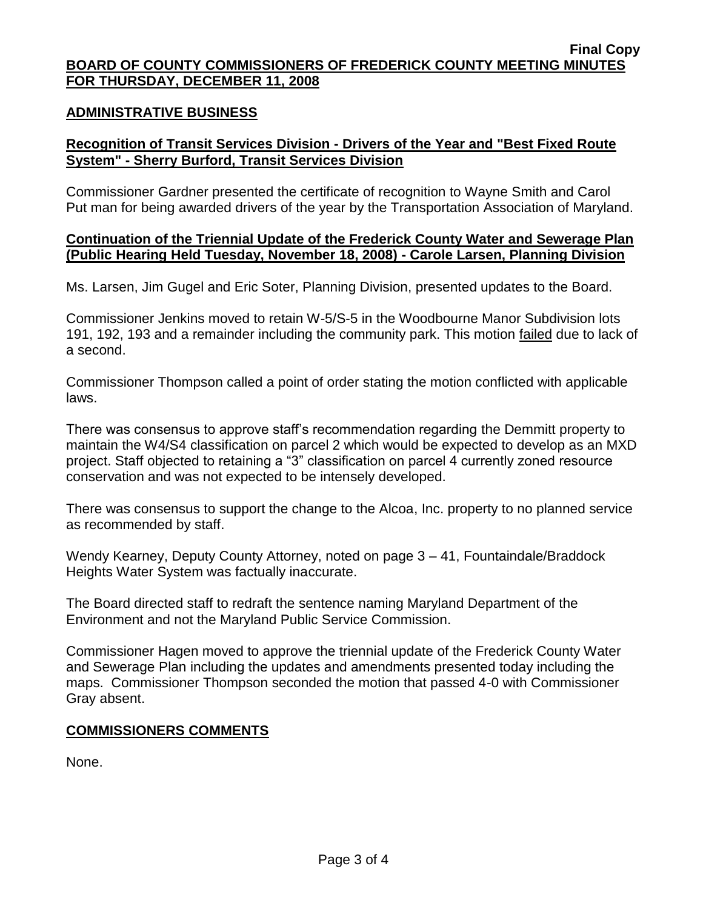#### **ADMINISTRATIVE BUSINESS**

## **Recognition of Transit Services Division - Drivers of the Year and "Best Fixed Route System" - Sherry Burford, Transit Services Division**

Commissioner Gardner presented the certificate of recognition to Wayne Smith and Carol Put man for being awarded drivers of the year by the Transportation Association of Maryland.

#### **Continuation of the Triennial Update of the Frederick County Water and Sewerage Plan (Public Hearing Held Tuesday, November 18, 2008) - Carole Larsen, Planning Division**

Ms. Larsen, Jim Gugel and Eric Soter, Planning Division, presented updates to the Board.

Commissioner Jenkins moved to retain W-5/S-5 in the Woodbourne Manor Subdivision lots 191, 192, 193 and a remainder including the community park. This motion failed due to lack of a second.

Commissioner Thompson called a point of order stating the motion conflicted with applicable laws.

There was consensus to approve staff's recommendation regarding the Demmitt property to maintain the W4/S4 classification on parcel 2 which would be expected to develop as an MXD project. Staff objected to retaining a "3" classification on parcel 4 currently zoned resource conservation and was not expected to be intensely developed.

There was consensus to support the change to the Alcoa, Inc. property to no planned service as recommended by staff.

Wendy Kearney, Deputy County Attorney, noted on page 3 – 41, Fountaindale/Braddock Heights Water System was factually inaccurate.

The Board directed staff to redraft the sentence naming Maryland Department of the Environment and not the Maryland Public Service Commission.

Commissioner Hagen moved to approve the triennial update of the Frederick County Water and Sewerage Plan including the updates and amendments presented today including the maps. Commissioner Thompson seconded the motion that passed 4-0 with Commissioner Gray absent.

## **COMMISSIONERS COMMENTS**

None.